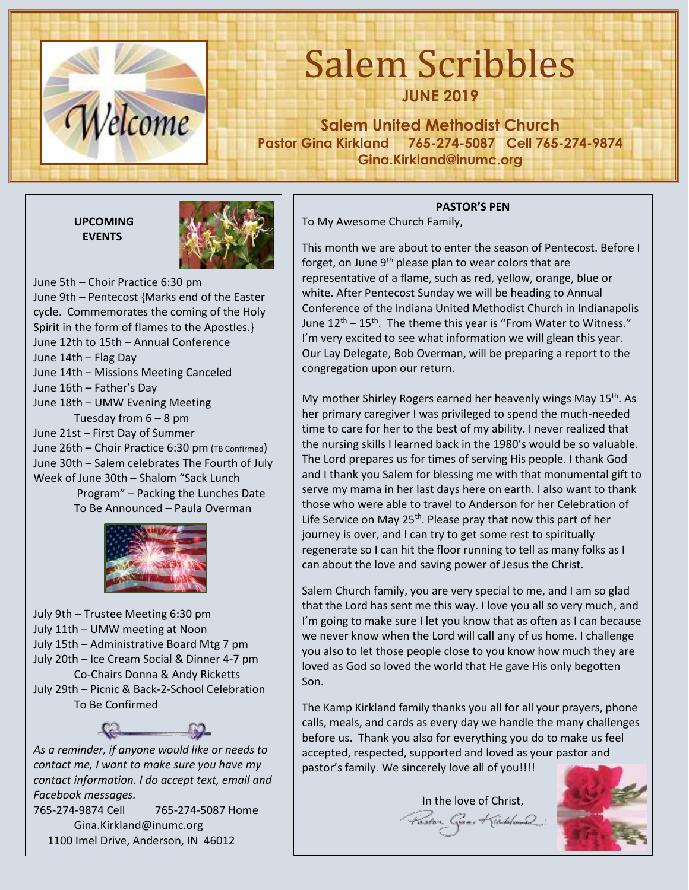

# Salem Scribbles **JUNE 2019**

**Salem United Methodist Church Pastor Gina Kirkland 765-274-5087 Cell 765-274-9874 Gina.Kirkland@inumc.org**

**UPCOMING EVENTS**



June 5th – Choir Practice 6:30 pm June 9th – Pentecost {Marks end of the Easter cycle. Commemorates the coming of the Holy Spirit in the form of flames to the Apostles.} June 12th to 15th – Annual Conference June 14th – Flag Day June 14th – Missions Meeting Canceled June 16th – Father's Day June 18th – UMW Evening Meeting Tuesday from  $6 - 8$  pm June 21st – First Day of Summer June 26th – Choir Practice 6:30 pm (TB Confirmed) June 30th – Salem celebrates The Fourth of July Week of June 30th – Shalom "Sack Lunch Program" – Packing the Lunches Date To Be Announced – Paula Overman



July 9th – Trustee Meeting 6:30 pm July 11th – UMW meeting at Noon July 15th – Administrative Board Mtg 7 pm July 20th – Ice Cream Social & Dinner 4-7 pm Co-Chairs Donna & Andy Ricketts July 29th – Picnic & Back-2-School Celebration To Be Confirmed



*contact me, I want to make sure you have my contact information. I do accept text, email and Facebook messages.*  765-274-9874 Cell 765-274-5087 Home Gina.Kirkland@inumc.org

1100 Imel Drive, Anderson, IN 46012

## **PASTOR'S PEN**

To My Awesome Church Family,

This month we are about to enter the season of Pentecost. Before I forget, on June 9<sup>th</sup> please plan to wear colors that are representative of a flame, such as red, yellow, orange, blue or white. After Pentecost Sunday we will be heading to Annual Conference of the Indiana United Methodist Church in Indianapolis June  $12^{th}$  –  $15^{th}$ . The theme this year is "From Water to Witness." I'm very excited to see what information we will glean this year. Our Lay Delegate, Bob Overman, will be preparing a report to the congregation upon our return.

My mother Shirley Rogers earned her heavenly wings May  $15<sup>th</sup>$ . As her primary caregiver I was privileged to spend the much-needed time to care for her to the best of my ability. I never realized that the nursing skills I learned back in the 1980's would be so valuable. The Lord prepares us for times of serving His people. I thank God and I thank you Salem for blessing me with that monumental gift to serve my mama in her last days here on earth. I also want to thank those who were able to travel to Anderson for her Celebration of Life Service on May 25<sup>th</sup>. Please pray that now this part of her journey is over, and I can try to get some rest to spiritually regenerate so I can hit the floor running to tell as many folks as I can about the love and saving power of Jesus the Christ.

Salem Church family, you are very special to me, and I am so glad that the Lord has sent me this way. I love you all so very much, and I'm going to make sure I let you know that as often as I can because we never know when the Lord will call any of us home. I challenge you also to let those people close to you know how much they are loved as God so loved the world that He gave His only begotten Son.

The Kamp Kirkland family thanks you all for all your prayers, phone calls, meals, and cards as every day we handle the many challenges before us. Thank you also for everything you do to make us feel accepted, respected, supported and loved as your pastor and pastor's family. We sincerely love all of you!!!!

In the love of Christ, Paston Given Kirkland

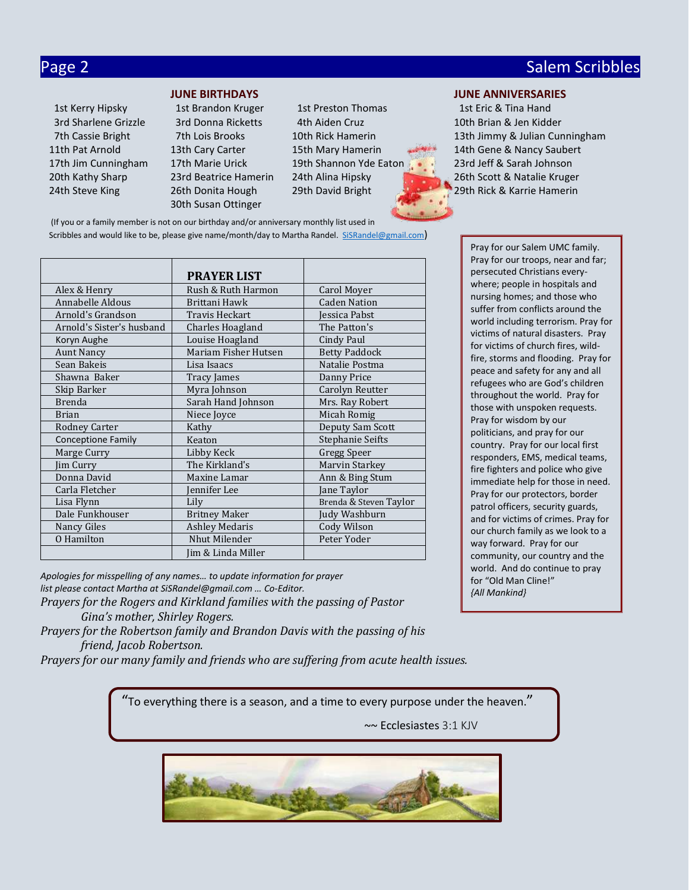## Page 2 Salem Scribbles and Contract Contract Contract Contract Contract Contract Contract Contract Contract Co

- 30th Susan Ottinger
- 1st Kerry Hipsky 1st Brandon Kruger 1st Preston Thomas 1st Eric & Tina Hand 3rd Sharlene Grizzle 3rd Donna Ricketts 4th Aiden Cruz 10th Brian & Jen Kidder 17th Jim Cunningham 17th Marie Urick 19th Shannon Yde E[aton](https://www.faithclipart.com/fca/affiliate.do?id=58&coupon=christmas) 23rd Jeff & Sarah Johnson

## **JUNE BIRTHDAYS JUNE ANNIVERSARIES**

 7th Cassie Bright 7th Lois Brooks 10th Rick Hamerin 13th Jimmy & Julian Cunningham 11th Pat Arnold 13th Cary Carter 15th Mary Hamerin 14th Gene & Nancy Saubert 20th Kathy Sharp 23rd Beatrice Hamerin 24th Alina Hipsky 26th Scott & Natalie Kruger 24th Steve King 26th Donita Hough 29th David Bright 29th Rick & Karrie Hamerin

(If you or a family member is not on our birthday and/or anniversary monthly list used in Scribbles and would like to be, please give name/month/day to Martha Randel. [SiSRandel@gmail.com](mailto:SiSRandel@gmail.com))

|                           | <b>PRAYER LIST</b>    |                         |  |
|---------------------------|-----------------------|-------------------------|--|
| Alex & Henry              | Rush & Ruth Harmon    | Carol Moyer             |  |
| Annabelle Aldous          | Brittani Hawk         | <b>Caden Nation</b>     |  |
| Arnold's Grandson         | Travis Heckart        | Jessica Pabst           |  |
| Arnold's Sister's husband | Charles Hoagland      | The Patton's            |  |
| Koryn Aughe               | Louise Hoagland       | Cindy Paul              |  |
| <b>Aunt Nancy</b>         | Mariam Fisher Hutsen  | <b>Betty Paddock</b>    |  |
| Sean Bakeis               | Lisa Isaacs           | Natalie Postma          |  |
| Shawna Baker              | Tracy James           | Danny Price             |  |
| Skip Barker               | Myra Johnson          | Carolyn Reutter         |  |
| <b>Brenda</b>             | Sarah Hand Johnson    | Mrs. Ray Robert         |  |
| <b>Brian</b>              | Niece Joyce           | Micah Romig             |  |
| <b>Rodney Carter</b>      | Kathy                 | Deputy Sam Scott        |  |
| Conceptione Family        | Keaton                | <b>Stephanie Seifts</b> |  |
| Marge Curry               | Libby Keck            | Gregg Speer             |  |
| Jim Curry                 | The Kirkland's        | Marvin Starkey          |  |
| Donna David               | Maxine Lamar          | Ann & Bing Stum         |  |
| Carla Fletcher            | ennifer Lee           | Jane Taylor             |  |
| Lisa Flynn                | Lily                  | Brenda & Steven Taylor  |  |
| Dale Funkhouser           | <b>Britney Maker</b>  | Judy Washburn           |  |
| Nancy Giles               | <b>Ashley Medaris</b> | Cody Wilson             |  |
| O Hamilton                | Nhut Milender         | Peter Yoder             |  |
|                           | Iim & Linda Miller    |                         |  |

*Apologies for misspelling of any names… to update information for prayer list please contact Martha at SiSRandel@gmail.com … Co-Editor.*

*Prayers for the Rogers and Kirkland families with the passing of Pastor Gina's mother, Shirley Rogers.*

*Prayers for the Robertson family and Brandon Davis with the passing of his friend, Jacob Robertson.*

*Prayers for our many family and friends who are suffering from acute health issues.*

"To everything there is a season, and a time to every purpose under the heaven."

~~ Ecclesiastes 3:1 KJV



Pray for our Salem UMC family. Pray for our troops, near and far; persecuted Christians everywhere; people in hospitals and nursing homes; and those who suffer from conflicts around the world including terrorism. Pray for victims of natural disasters. Pray for victims of church fires, wildfire, storms and flooding. Pray for peace and safety for any and all refugees who are God's children throughout the world. Pray for those with unspoken requests. Pray for wisdom by our politicians, and pray for our country. Pray for our local first responders, EMS, medical teams, fire fighters and police who give immediate help for those in need. Pray for our protectors, border patrol officers, security guards, and for victims of crimes. Pray for our church family as we look to a way forward. Pray for our community, our country and the world. And do continue to pray for "Old Man Cline!" *{All Mankind}*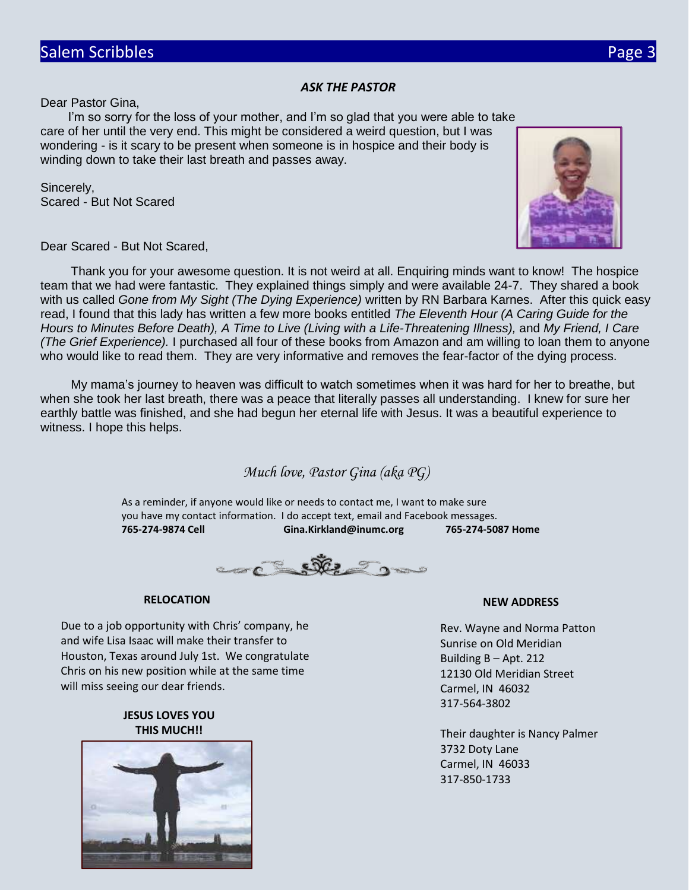## *ASK THE PASTOR*

Dear Pastor Gina,

 I'm so sorry for the loss of your mother, and I'm so glad that you were able to take care of her until the very end. This might be considered a weird question, but I was wondering - is it scary to be present when someone is in hospice and their body is winding down to take their last breath and passes away.

Sincerely, Scared - But Not Scared



Dear Scared - But Not Scared,

Thank you for your awesome question. It is not weird at all. Enquiring minds want to know! The hospice team that we had were fantastic. They explained things simply and were available 24-7. They shared a book with us called *Gone from My Sight (The Dying Experience)* written by RN Barbara Karnes. After this quick easy read, I found that this lady has written a few more books entitled *The Eleventh Hour (A Caring Guide for the Hours to Minutes Before Death), A Time to Live (Living with a Life-Threatening Illness),* and *My Friend, I Care (The Grief Experience).* I purchased all four of these books from Amazon and am willing to loan them to anyone who would like to read them. They are very informative and removes the fear-factor of the dying process.

My mama's journey to heaven was difficult to watch sometimes when it was hard for her to breathe, but when she took her last breath, there was a peace that literally passes all understanding. I knew for sure her earthly battle was finished, and she had begun her eternal life with Jesus. It was a beautiful experience to witness. I hope this helps.

*Much love, Pastor Gina (aka PG)*

As a reminder, if anyone would like or needs to contact me, I want to make sure you have my contact information. I do accept text, email and Facebook messages. **765-274-9874 Cell Gina.Kirkland@inumc.org 765-274-5087 Home**



### **RELOCATION**

Due to a job opportunity with Chris' company, he and wife Lisa Isaac will make their transfer to Houston, Texas around July 1st. We congratulate Chris on his new position while at the same time will miss seeing our dear friends.

## **JESUS LOVES YOU THIS MUCH!!**



### **NEW ADDRESS**

Rev. Wayne and Norma Patton Sunrise on Old Meridian Building B – Apt. 212 12130 Old Meridian Street Carmel, IN 46032 317-564-3802

Their daughter is Nancy Palmer 3732 Doty Lane Carmel, IN 46033 317-850-1733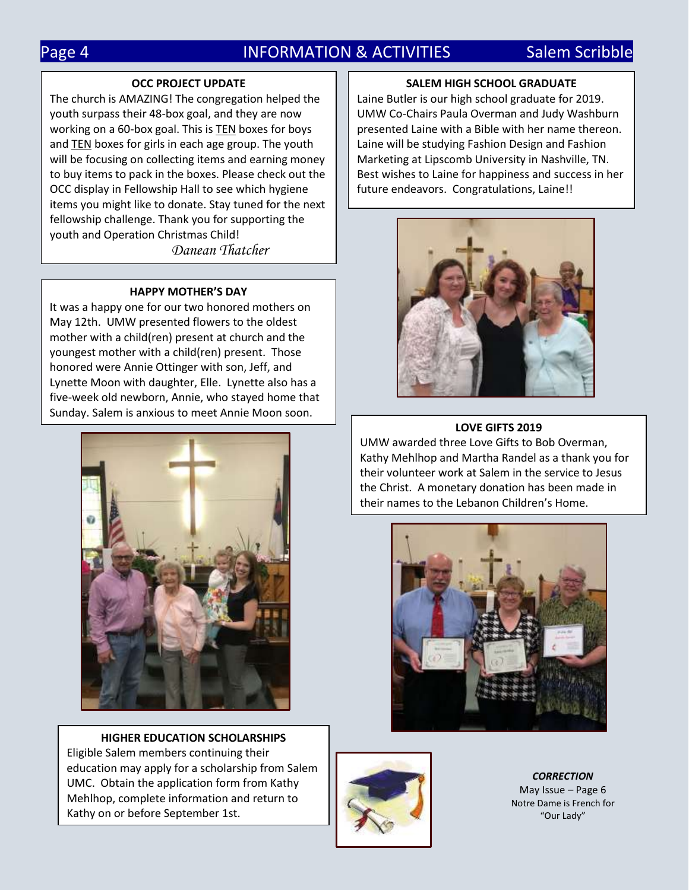## Page 4 **INFORMATION & ACTIVITIES** Salem Scribble

### **OCC PROJECT UPDATE**

The church is AMAZING! The congregation helped the youth surpass their 48-box goal, and they are now working on a 60-box goal. This is TEN boxes for boys and TEN boxes for girls in each age group. The youth will be focusing on collecting items and earning money to buy items to pack in the boxes. Please check out the OCC display in Fellowship Hall to see which hygiene items you might like to donate. Stay tuned for the next fellowship challenge. Thank you for supporting the youth and Operation Christmas Child!

*Danean Thatcher*

### **HAPPY MOTHER'S DAY**

It was a happy one for our two honored mothers on May 12th. UMW presented flowers to the oldest mother with a child(ren) present at church and the youngest mother with a child(ren) present. Those honored were Annie Ottinger with son, Jeff, and Lynette Moon with daughter, Elle. Lynette also has a five-week old newborn, Annie, who stayed home that Sunday. Salem is anxious to meet Annie Moon soon.



**HIGHER EDUCATION SCHOLARSHIPS** Eligible Salem members continuing their education may apply for a scholarship from Salem UMC. Obtain the application form from Kathy Mehlhop, complete information and return to Kathy on or before September 1st.

## **SALEM HIGH SCHOOL GRADUATE**

Laine Butler is our high school graduate for 2019. UMW Co-Chairs Paula Overman and Judy Washburn presented Laine with a Bible with her name thereon. Laine will be studying Fashion Design and Fashion Marketing at Lipscomb University in Nashville, TN. Best wishes to Laine for happiness and success in her future endeavors. Congratulations, Laine!!



### **LOVE GIFTS 2019**

UMW awarded three Love Gifts to Bob Overman, Kathy Mehlhop and Martha Randel as a thank you for their volunteer work at Salem in the service to Jesus the Christ. A monetary donation has been made in their names to the Lebanon Children's Home.





*CORRECTION* May Issue – Page 6 Notre Dame is French for "Our Lady"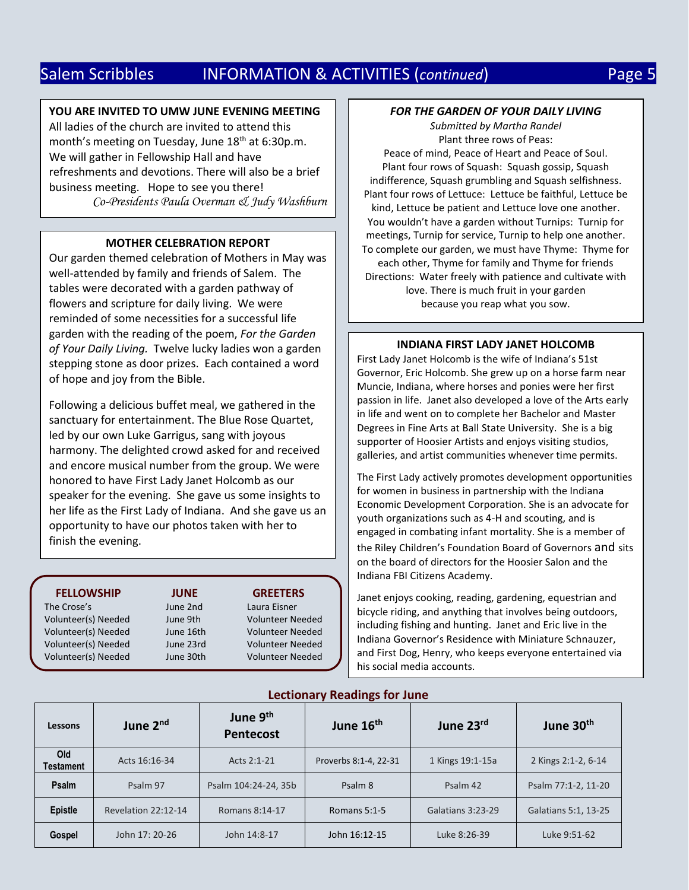## Salem Scribbles **INFORMATION & ACTIVITIES (continued)** Page 5

## **YOU ARE INVITED TO UMW JUNE EVENING MEETING**

All ladies of the church are invited to attend this month's meeting on Tuesday, June 18<sup>th</sup> at 6:30p.m. We will gather in Fellowship Hall and have refreshments and devotions. There will also be a brief business meeting. Hope to see you there! *Co-Presidents Paula Overman & Judy Washburn*

### **MOTHER CELEBRATION REPORT**

Our garden themed celebration of Mothers in May was well-attended by family and friends of Salem. The tables were decorated with a garden pathway of flowers and scripture for daily living. We were reminded of some necessities for a successful life garden with the reading of the poem, *For the Garden of Your Daily Living.* Twelve lucky ladies won a garden stepping stone as door prizes. Each contained a word of hope and joy from the Bible.

Following a delicious buffet meal, we gathered in the sanctuary for entertainment. The Blue Rose Quartet, led by our own Luke Garrigus, sang with joyous harmony. The delighted crowd asked for and received and encore musical number from the group. We were honored to have First Lady Janet Holcomb as our speaker for the evening. She gave us some insights to her life as the First Lady of Indiana. And she gave us an opportunity to have our photos taken with her to finish the evening.

| <b>FELLOWSHIP</b>   | <b>JUNE</b> | <b>GREETERS</b>         |
|---------------------|-------------|-------------------------|
| The Crose's         | June 2nd    | Laura Eisner            |
| Volunteer(s) Needed | June 9th    | <b>Volunteer Needed</b> |
| Volunteer(s) Needed | June 16th   | <b>Volunteer Needed</b> |
| Volunteer(s) Needed | June 23rd   | <b>Volunteer Needed</b> |
| Volunteer(s) Needed | June 30th   | <b>Volunteer Needed</b> |

## *FOR THE GARDEN OF YOUR DAILY LIVING*

*Submitted by Martha Randel* Plant three rows of Peas: Peace of mind, Peace of Heart and Peace of Soul. Plant four rows of Squash: Squash gossip, Squash indifference, Squash grumbling and Squash selfishness. Plant four rows of Lettuce: Lettuce be faithful, Lettuce be kind, Lettuce be patient and Lettuce love one another. You wouldn't have a garden without Turnips: Turnip for meetings, Turnip for service, Turnip to help one another. To complete our garden, we must have Thyme: Thyme for each other, Thyme for family and Thyme for friends Directions: Water freely with patience and cultivate with love. There is much fruit in your garden because you reap what you sow.

## **INDIANA FIRST LADY JANET HOLCOMB**

First Lady Janet Holcomb is the wife of Indiana's 51st Governor, Eric Holcomb. She grew up on a horse farm near Muncie, Indiana, where horses and ponies were her first passion in life. Janet also developed a love of the Arts early in life and went on to complete her Bachelor and Master Degrees in Fine Arts at Ball State University. She is a big supporter of Hoosier Artists and enjoys visiting studios, galleries, and artist communities whenever time permits.

The First Lady actively promotes development opportunities for women in business in partnership with the Indiana Economic Development Corporation. She is an advocate for youth organizations such as 4-H and scouting, and is engaged in combating infant mortality. She is a member of the Riley Children's Foundation Board of Governors and sits on the board of directors for the Hoosier Salon and the Indiana FBI Citizens Academy.

Janet enjoys cooking, reading, gardening, equestrian and bicycle riding, and anything that involves being outdoors, including fishing and hunting. Janet and Eric live in the Indiana Governor's Residence with Miniature Schnauzer, and First Dog, Henry, who keeps everyone entertained via his social media accounts.

| Lessons          | June 2 <sup>nd</sup> | June 9 <sup>th</sup><br><b>Pentecost</b> | June 16th             | June 23rd         | June 30 <sup>th</sup> |
|------------------|----------------------|------------------------------------------|-----------------------|-------------------|-----------------------|
| Old<br>Testament | Acts 16:16-34        | Acts 2:1-21                              | Proverbs 8:1-4, 22-31 | 1 Kings 19:1-15a  | 2 Kings 2:1-2, 6-14   |
| Psalm            | Psalm 97             | Psalm 104:24-24, 35b                     | Psalm 8               | Psalm 42          | Psalm 77:1-2, 11-20   |
| <b>Epistle</b>   | Revelation 22:12-14  | Romans 8:14-17                           | Romans $5:1-5$        | Galatians 3:23-29 | Galatians 5:1, 13-25  |
| Gospel           | John 17: 20-26       | John 14:8-17                             | John 16:12-15         | Luke 8:26-39      | Luke 9:51-62          |

## **Lectionary Readings for June**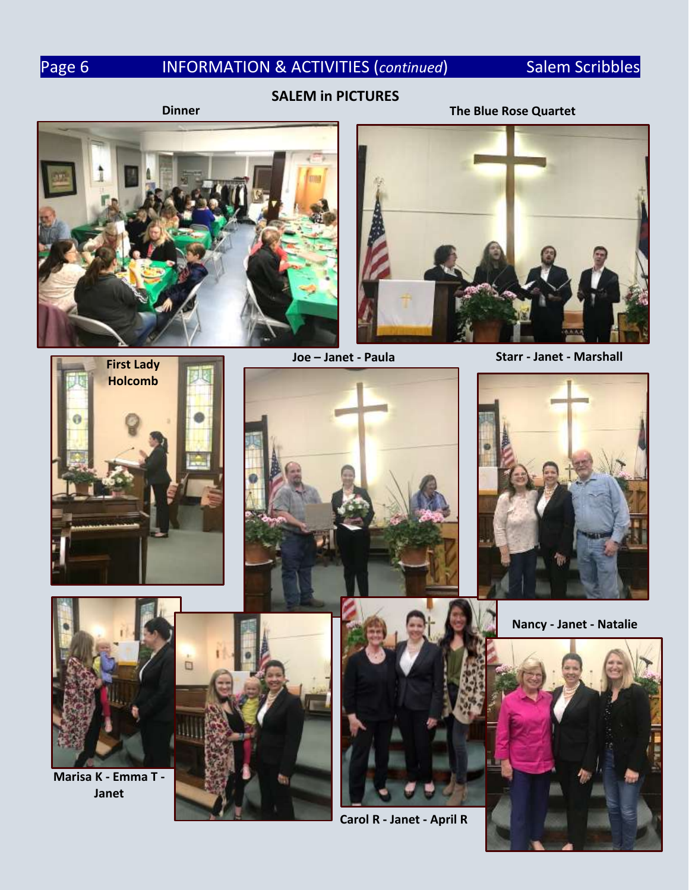## Page 6 **INFORMATION & ACTIVITIES (continued)** Salem Scribbles

## **SALEM in PICTURES**

## **Dinner The Blue Rose Quartet**





**Joe – Janet - Paula Starr - Janet - Marshall**











**Marisa K - Emma T - Janet**



**Carol R - Janet - April R**

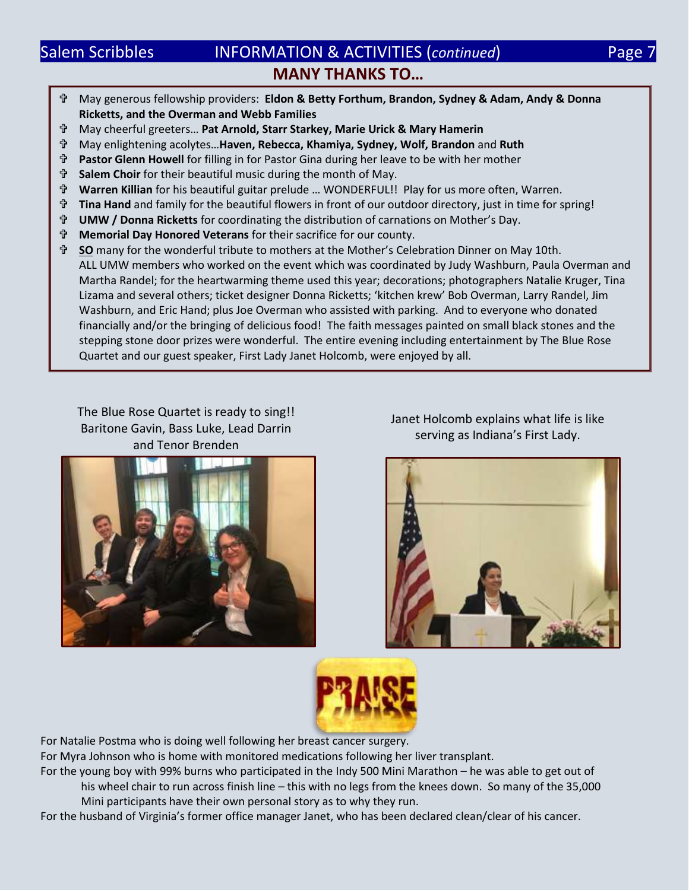## Salem Scribbles **INFORMATION & ACTIVITIES (continued)** Page 7 **MANY THANKS TO…**

- May generous fellowship providers: **Eldon & Betty Forthum, Brandon, Sydney & Adam, Andy & Donna Ricketts, and the Overman and Webb Families**
- May cheerful greeters… **Pat Arnold, Starr Starkey, Marie Urick & Mary Hamerin**
- May enlightening acolytes…**Haven, Rebecca, Khamiya, Sydney, Wolf, Brandon** and **Ruth**
- **Pastor Glenn Howell** for filling in for Pastor Gina during her leave to be with her mother
- **Salem Choir** for their beautiful music during the month of May.
- **Warren Killian** for his beautiful guitar prelude … WONDERFUL!! Play for us more often, Warren.
- **Tina Hand** and family for the beautiful flowers in front of our outdoor directory, just in time for spring!
- **UMW / Donna Ricketts** for coordinating the distribution of carnations on Mother's Day.
- **Memorial Day Honored Veterans** for their sacrifice for our county.
- **SO** many for the wonderful tribute to mothers at the Mother's Celebration Dinner on May 10th. ALL UMW members who worked on the event which was coordinated by Judy Washburn, Paula Overman and Martha Randel; for the heartwarming theme used this year; decorations; photographers Natalie Kruger, Tina Lizama and several others; ticket designer Donna Ricketts; 'kitchen krew' Bob Overman, Larry Randel, Jim Washburn, and Eric Hand; plus Joe Overman who assisted with parking. And to everyone who donated financially and/or the bringing of delicious food! The faith messages painted on small black stones and the stepping stone door prizes were wonderful. The entire evening including entertainment by The Blue Rose Quartet and our guest speaker, First Lady Janet Holcomb, were enjoyed by all.

The Blue Rose Quartet is ready to sing!! Baritone Gavin, Bass Luke, Lead Darrin and Tenor Brenden



Janet Holcomb explains what life is like serving as Indiana's First Lady.





For Natalie Postma who is doing well following her breast cancer surgery.

For Myra Johnson who is home with monitored medications following her liver transplant.

For the young boy with 99% burns who participated in the Indy 500 Mini Marathon – he was able to get out of his wheel chair to run across finish line – this with no legs from the knees down. So many of the 35,000 Mini participants have their own personal story as to why they run.

For the husband of Virginia's former office manager Janet, who has been declared clean/clear of his cancer.